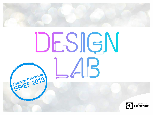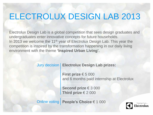# ELECTROLUX DESIGN LAB 2013

Electrolux Design Lab is a global competition that sees design graduates and undergraduates enter innovative concepts for future households. In 2013 we welcome the 11<sup>th</sup> year of Electrolux Design Lab. This year the competition is inspired by the transformation happening in our daily living environment with the theme **'Inspired Urban Living'.** 

### **Electrolux Design Lab prizes:** Jury decision

**First prize** € 5 000 and 6 months paid internship at Electrolux

**Second prize** € 3 000 **Third prize** € 2 000

Online voting **People's Choice** € 1 000

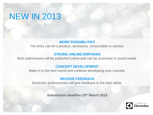## NEW IN 2013

### **MORE POSSIBILITIES**

The entry can be a product, accessory, consumable or service.

### **STRONG ONLINE EMPHASIS**

Best submissions will be published online and can be promoted in social media.

#### **CONCEPT DEVELOPMENT**

Make it to the next round and continue developing your concept.

#### **RECEIVE FEEDBACK**

Electrolux professionals will give feedback to the best ideas.

**Submission deadline 15th March 2013** 

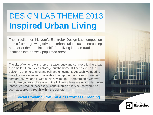# DESIGN LAB THEME 2013 **Inspired Urban Living**

The direction for this year's Electrolux Design Lab competition stems from a growing driver in 'urbanisation', as an increasing number of the population shift from living in open rural locations into densely populated areas.

The city of tomorrow is short on space, busy and compact. Living areas are smaller; there is less storage but the home still needs to be the epicentre of entertaining and culinary enjoyment. As such we need to have the necessary tools available to adapt our daily lives, so we can comfortably live and fit within this new model. Therefore, this year we would like you to explore one of the following three areas and design an innovative product, accessory, consumable or service that would be seen as a break through within the sector:

**Social Cooking / Natural Air / Effortless Cleaning**

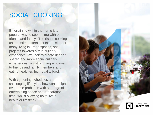## SOCIAL COOKING

Entertaining within the home is a popular way to spend time with our friends and family. The rise in cooking as a pastime offers self expression for many living in urban spaces, and projects towards a true culinary experience. We look to create deeper, shared and more social culinary experiences, whilst bringing enjoyment to friends and family members and eating healthier, high quality food.

With tightening schedules and challenging lifestyles, how can design overcome problems with shortage of entertaining space and preparation time, whilst allowing us to live a healthier lifestyle?

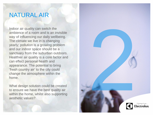### NATURAL AIR

Indoor air quality can switch the ambience of a room and is an invisible way of influencing our daily wellbeing. The climate we live in is changing yearly; pollution is a growing problem and our indoor space should be a sanctuary from the suburban outdoors. Healthier air quality is a core factor and can effect personal health and appearance. The potential to bring 'fresh country air' to the city could change the atmosphere within the home.

What design solution could be created to ensure we have the best quality air within the home, whilst also supporting aesthetic values?

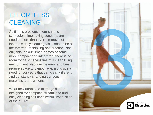## **EFFORTLESS** CLEANING

As time is precious in our chaotic schedules, time saving concepts are needed more than ever – removal of laborious daily cleaning tasks should be at the forefront of thinking and creation. Not only this, as our urban homes become more compact and integrated, there is no room for daily necessities of a clean living environment. Vacuum cleaners and bins require space to camouflage, alongside a need for concepts that can clean different and constantly changing surfaces, materials and garments.

What new adaptable offerings can be designed for compact, streamlined and easy cleaning solutions within urban cities of the future?

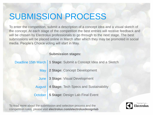## SUBMISSION PROCESS

To enter the competition, submit a description of a concept idea and a visual sketch of the concept. At each stage of the competition the best entries will receive feedback and will be chosen by Electrolux professionals to go through to the next stage. The best submissions will be placed online in March after which they may be promoted in social media. People's Choice voting will start in May.

#### **Submission stages:**

| Deadline 15th March   1 Stage: Submit a Concept Idea and a Sketch |
|-------------------------------------------------------------------|
| May   2 Stage: Concept Development                                |
| June 3 Stage: Visual Development                                  |
| August   4 Stage: Tech Specs and Sustainability                   |
| October   5 Stage: Design Lab Final Event                         |

To read more about the submission and selection process and the competition rules, please visit **electrolux.com/electroluxdesignlab**

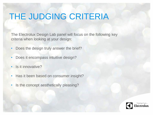# THE JUDGING CRITERIA

The Electrolux Design Lab panel will focus on the following key criteria when looking at your design:

- Does the design truly answer the brief?
- Does it encompass intuitive design?
- Is it innovative?
- Has it been based on consumer insight?
- Is the concept aesthetically pleasing?